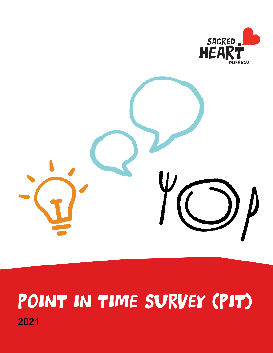



# Point in Time Survey (PIT) **2021**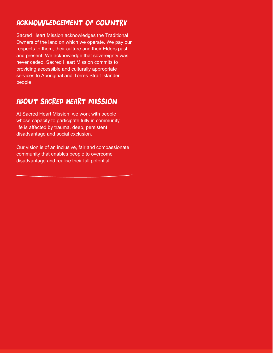## Acknowledgement of Country

Sacred Heart Mission acknowledges the Traditional Owners of the land on which we operate. We pay our respects to them, their culture and their Elders past and present. We acknowledge that sovereignty was never ceded. Sacred Heart Mission commits to providing accessible and culturally appropriate services to Aboriginal and Torres Strait Islander people

## About Sacred Heart Mission

At Sacred Heart Mission, we work with people whose capacity to participate fully in community life is affected by trauma, deep, persistent disadvantage and social exclusion.

Our vision is of an inclusive, fair and compassionate community that enables people to overcome disadvantage and realise their full potential.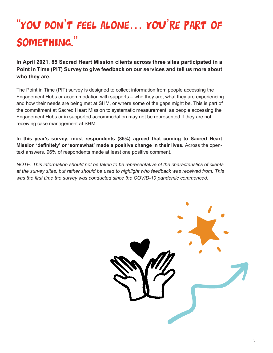# "You don't feel alone… you're part of something."

**In April 2021, 85 Sacred Heart Mission clients across three sites participated in a Point in Time (PIT) Survey to give feedback on our services and tell us more about who they are.** 

The Point in Time (PIT) survey is designed to collect information from people accessing the Engagement Hubs or accommodation with supports – who they are, what they are experiencing and how their needs are being met at SHM, or where some of the gaps might be. This is part of the commitment at Sacred Heart Mission to systematic measurement, as people accessing the Engagement Hubs or in supported accommodation may not be represented if they are not receiving case management at SHM.

**In this year's survey, most respondents (85%) agreed that coming to Sacred Heart Mission 'definitely' or 'somewhat' made a positive change in their lives.** Across the opentext answers, 96% of respondents made at least one positive comment.

*NOTE: This information should not be taken to be representative of the characteristics of clients at the survey sites, but rather should be used to highlight who feedback was received from. This was the first time the survey was conducted since the COVID-19 pandemic commenced.*

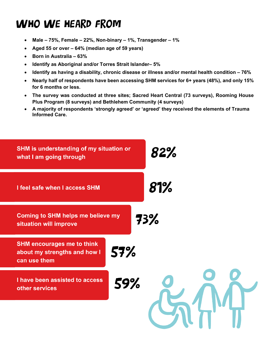## WHO WE HEARD FROM

- **Male – 75%, Female – 22%, Non-binary – 1%, Transgender – 1%**
- **Aged 55 or over – 64% (median age of 59 years)**
- **Born in Australia – 63%**
- **Identify as Aboriginal and/or Torres Strait Islander– 5%**
- **Identify as having a disability, chronic disease or illness and/or mental health condition – 76%**
- **Nearly half of respondents have been accessing SHM services for 6+ years (48%), and only 15% for 6 months or less.**
- **The survey was conducted at three sites; Sacred Heart Central (73 surveys), Rooming House Plus Program (8 surveys) and Bethlehem Community (4 surveys)**
- **A majority of respondents 'strongly agreed' or 'agreed' they received the elements of Trauma Informed Care.**

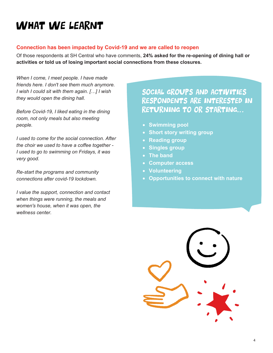## WHAT WE LEARNT

#### **Connection has been impacted by Covid-19 and we are called to reopen**

Of those respondents at SH Central who have comments, **24% asked for the re-opening of dining hall or activities or told us of losing important social connections from these closures.** 

*When I come, I meet people. I have made friends here. I don't see them much anymore. I wish I could sit with them again. […] I wish they would open the dining hall.*

*Before Covid-19, I liked eating in the dining room, not only meals but also meeting people.*

*I used to come for the social connection. After the choir we used to have a coffee together - I used to go to swimming on Fridays, it was very good.* 

*Re-start the programs and community connections after covid-19 lockdown.* 

*I value the support, connection and contact when things were running, the meals and women's house, when it was open, the wellness center.*

## Social groups and activities respondents are interested in returning to or starting…

- **Swimming pool**
- **Short story writing group**
- **Reading group**
- **Singles group**
- **The band**
- **Computer access**
- **Volunteering**
- **Opportunities to connect with nature**

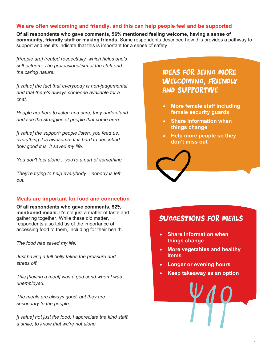#### **We are often welcoming and friendly, and this can help people feel and be supported**

**Of all respondents who gave comments, 56% mentioned feeling welcome, having a sense of community, friendly staff or making friends.** Some respondents described how this provides a pathway to support and results indicate that this is important for a sense of safety.

*[People are] treated respectfully, which helps one's self esteem. The professionalism of the staff and the caring nature.*

*[I value] the fact that everybody is non-judgemental and that there's always someone available for a chat.*

*People are here to listen and care; they understand and see the struggles of people that come here.* 

*[I value] the support: people listen, you feed us, everything it is awesome. It is hard to described how good it is. It saved my life.* 

*You don't feel alone... you're a part of something.* 

*They're trying to help everybody... nobody is left out.* 

#### **Meals are important for food and connection**

**Of all respondents who gave comments, 52% mentioned meals.** It's not just a matter of taste and gathering together. While these did matter, respondents also told us of the importance of accessing food to them, including for their health.

*The food has saved my life.* 

*Just having a full belly takes the pressure and stress off.* 

*This [having a meal] was a god send when I was unemployed.* 

*The meals are always good, but they are secondary to the people.*

*[I value] not just the food. I appreciate the kind staff, a smile, to know that we're not alone.*

Ideas for being more welcoming, friendly and supportive

- **More female staff including female security guards**
- **Share information when things change**
- **Help more people so they don't miss out**

### Suggestions for meals

- **Share information when things change**
- **More vegetables and healthy items**
- **Longer or evening hours**
- **Keep takeaway as an option**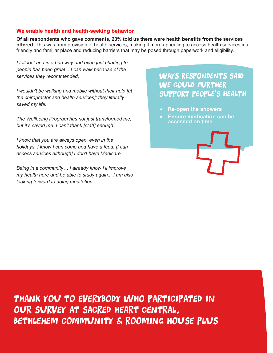#### **We enable health and health-seeking behavior**

**Of all respondents who gave comments, 23% told us there were health benefits from the services offered.** This was from provision of health services, making it more appealing to access health services in a friendly and familiar place and reducing barriers that may be posed through paperwork and eligibility.

*I felt lost and in a bad way and even just chatting to people has been great... I can walk because of the services they recommended.* 

*I wouldn't be walking and mobile without their help [at the chiropractor and health services]; they literally saved my life.* 

*The Wellbeing Program has not just transformed me, but it's saved me. I can't thank [staff] enough.* 

*I know that you are always open, even in the holidays. I know I can come and have a feed. [I can access services although] I don't have Medicare.*

*Being in a community… I already know I'll improve my health here and be able to study again... I am also looking forward to doing meditation.* 

WAYS RESPONDENTS SAID WE COULD FURTHER support people's health

- **Re-open the showers**
- **Ensure medication can be accessed on time**



Thank you to Everybody who participated in our survey at Sacred heart Central, BETHLEHEM COMMUNITY & ROOMING HOUSE PLUS